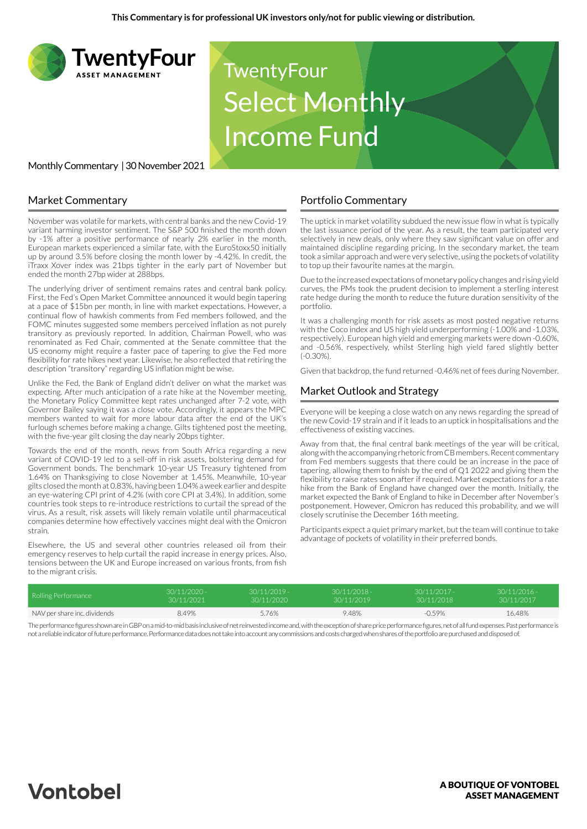

# **TwentyFour** Select Monthly Income Fund

#### Monthly Commentary | 30 November 2021

#### Market Commentary

November was volatile for markets, with central banks and the new Covid-19 variant harming investor sentiment. The S&P 500 finished the month down by -1% after a positive performance of nearly 2% earlier in the month. European markets experienced a similar fate, with the EuroStoxx50 initially up by around 3.5% before closing the month lower by -4.42%. In credit, the iTraxx Xover index was 21bps tighter in the early part of November but ended the month 27bp wider at 288bps.

The underlying driver of sentiment remains rates and central bank policy. First, the Fed's Open Market Committee announced it would begin tapering at a pace of \$15bn per month, in line with market expectations. However, a continual flow of hawkish comments from Fed members followed, and the FOMC minutes suggested some members perceived inflation as not purely transitory as previously reported. In addition, Chairman Powell, who was renominated as Fed Chair, commented at the Senate committee that the US economy might require a faster pace of tapering to give the Fed more flexibility for rate hikes next year. Likewise, he also reflected that retiring the description "transitory" regarding US inflation might be wise.

Unlike the Fed, the Bank of England didn't deliver on what the market was expecting. After much anticipation of a rate hike at the November meeting, the Monetary Policy Committee kept rates unchanged after 7-2 vote, with Governor Bailey saying it was a close vote. Accordingly, it appears the MPC members wanted to wait for more labour data after the end of the UK's furlough schemes before making a change. Gilts tightened post the meeting, with the five-year gilt closing the day nearly 20bps tighter.

Towards the end of the month, news from South Africa regarding a new variant of COVID-19 led to a sell-off in risk assets, bolstering demand for Government bonds. The benchmark 10-year US Treasury tightened from 1.64% on Thanksgiving to close November at 1.45%. Meanwhile, 10-year gilts closed the month at 0.83%, having been 1.04% a week earlier and despite an eye-watering CPI print of 4.2% (with core CPI at 3.4%). In addition, some countries took steps to re-introduce restrictions to curtail the spread of the virus. As a result, risk assets will likely remain volatile until pharmaceutical companies determine how effectively vaccines might deal with the Omicron strain.

Elsewhere, the US and several other countries released oil from their emergency reserves to help curtail the rapid increase in energy prices. Also, tensions between the UK and Europe increased on various fronts, from fish to the migrant crisis.

#### Portfolio Commentary

The uptick in market volatility subdued the new issue flow in what is typically the last issuance period of the year. As a result, the team participated very selectively in new deals, only where they saw significant value on offer and maintained discipline regarding pricing. In the secondary market, the team took a similar approach and were very selective, using the pockets of volatility to top up their favourite names at the margin.

Due to the increased expectations of monetary policy changes and rising yield curves, the PMs took the prudent decision to implement a sterling interest rate hedge during the month to reduce the future duration sensitivity of the portfolio.

It was a challenging month for risk assets as most posted negative returns with the Coco index and US high yield underperforming (-1.00% and -1.03%, respectively). European high yield and emerging markets were down -0.60%, and -0.56%, respectively, whilst Sterling high yield fared slightly better (-0.30%).

Given that backdrop, the fund returned -0.46% net of fees during November.

## Market Outlook and Strategy

Everyone will be keeping a close watch on any news regarding the spread of the new Covid-19 strain and if it leads to an uptick in hospitalisations and the effectiveness of existing vaccines.

Away from that, the final central bank meetings of the year will be critical, along with the accompanying rhetoric from CB members. Recent commentary from Fed members suggests that there could be an increase in the pace of tapering, allowing them to finish by the end of Q1 2022 and giving them the flexibility to raise rates soon after if required. Market expectations for a rate hike from the Bank of England have changed over the month. Initially, the market expected the Bank of England to hike in December after November's postponement. However, Omicron has reduced this probability, and we will closely scrutinise the December 16th meeting.

Participants expect a quiet primary market, but the team will continue to take advantage of pockets of volatility in their preferred bonds.

| Rolling Performance          | $30/11/2020 -$ | $30/11/2019 -$ | $30/11/2018 -$ | $30/11/2017 -$ | $30/11/2016 -$ |
|------------------------------|----------------|----------------|----------------|----------------|----------------|
|                              | 30/11/2021     | 30/11/2020     | 30/11/2019     | 30/11/2018     | 30/11/2017     |
| NAV per share inc. dividends | 8.49%          | 5.76%          | 9.48%          | $-0.59%$       | 16.48%         |

The performance figures shown are in GBP on a mid-to-mid basis inclusive of net reinvested income and, with the exception of share price performance figures, net of all fund expenses. Past performance is not a reliable indicator of future performance. Performance data does not take into account any commissions and costs charged when shares of the portfolio are purchased and disposed of.